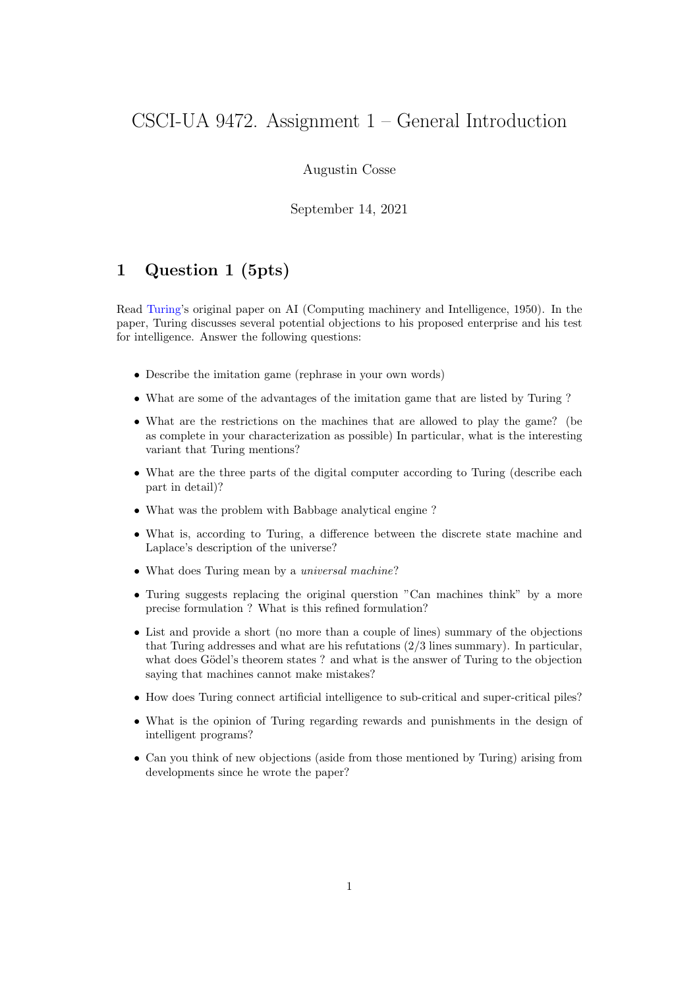## CSCI-UA 9472. Assignment 1 – General Introduction

Augustin Cosse

September 14, 2021

## 1 Question 1 (5pts)

Read Turing's original paper on AI (Computing machinery and Intelligence, 1950). In the paper, Turing discusses several potential objections to his proposed enterprise and his test for intelligence. Answer the following questions:

- Describe the imitation game (rephrase in your own words)
- What are some of the advantages of the imitation game that are listed by Turing ?
- What are the restrictions on the machines that are allowed to play the game? (be as complete in your characterization as possible) In particular, what is the interesting variant that Turing mentions?
- What are the three parts of the digital computer according to Turing (describe each part in detail)?
- What was the problem with Babbage analytical engine ?
- What is, according to Turing, a difference between the discrete state machine and Laplace's description of the universe?
- What does Turing mean by a *universal machine*?
- Turing suggests replacing the original querstion "Can machines think" by a more precise formulation ? What is this refined formulation?
- List and provide a short (no more than a couple of lines) summary of the objections that Turing addresses and what are his refutations (2/3 lines summary). In particular, what does Gödel's theorem states ? and what is the answer of Turing to the objection saying that machines cannot make mistakes?
- How does Turing connect artificial intelligence to sub-critical and super-critical piles?
- What is the opinion of Turing regarding rewards and punishments in the design of intelligent programs?
- Can you think of new objections (aside from those mentioned by Turing) arising from developments since he wrote the paper?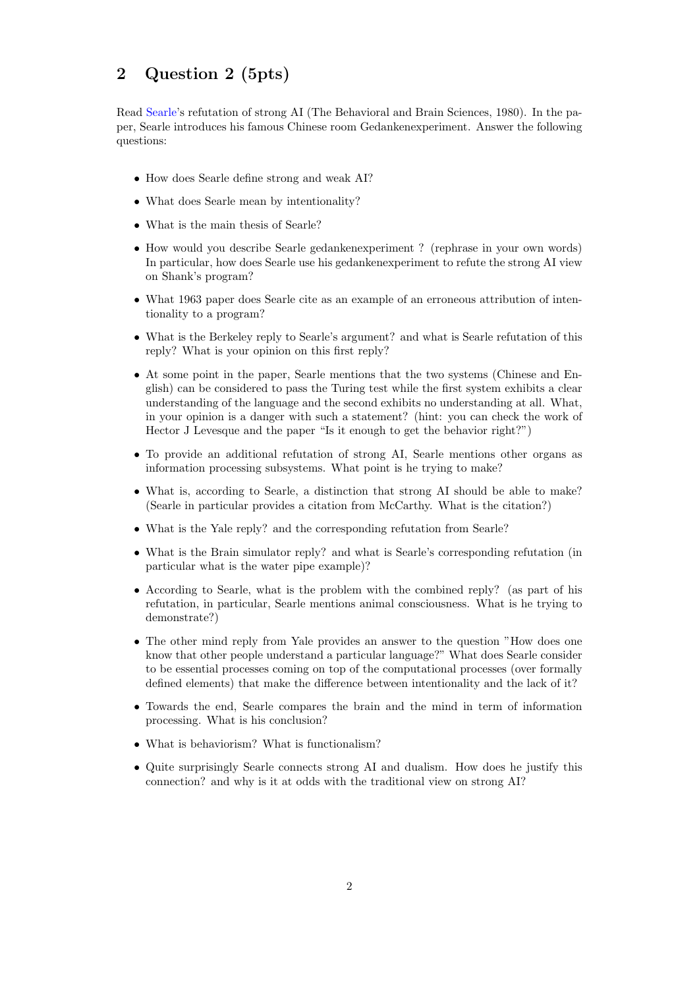## 2 Question 2 (5pts)

Read Searle's refutation of strong AI (The Behavioral and Brain Sciences, 1980). In the paper, Searle introduces his famous Chinese room Gedankenexperiment. Answer the following questions:

- How does Searle define strong and weak AI?
- What does Searle mean by intentionality?
- What is the main thesis of Searle?
- How would you describe Searle gedankenexperiment ? (rephrase in your own words) In particular, how does Searle use his gedankenexperiment to refute the strong AI view on Shank's program?
- What 1963 paper does Searle cite as an example of an erroneous attribution of intentionality to a program?
- What is the Berkeley reply to Searle's argument? and what is Searle refutation of this reply? What is your opinion on this first reply?
- At some point in the paper, Searle mentions that the two systems (Chinese and English) can be considered to pass the Turing test while the first system exhibits a clear understanding of the language and the second exhibits no understanding at all. What, in your opinion is a danger with such a statement? (hint: you can check the work of Hector J Levesque and the paper "Is it enough to get the behavior right?")
- To provide an additional refutation of strong AI, Searle mentions other organs as information processing subsystems. What point is he trying to make?
- What is, according to Searle, a distinction that strong AI should be able to make? (Searle in particular provides a citation from McCarthy. What is the citation?)
- What is the Yale reply? and the corresponding refutation from Searle?
- What is the Brain simulator reply? and what is Searle's corresponding refutation (in particular what is the water pipe example)?
- According to Searle, what is the problem with the combined reply? (as part of his refutation, in particular, Searle mentions animal consciousness. What is he trying to demonstrate?)
- The other mind reply from Yale provides an answer to the question "How does one know that other people understand a particular language?" What does Searle consider to be essential processes coming on top of the computational processes (over formally defined elements) that make the difference between intentionality and the lack of it?
- Towards the end, Searle compares the brain and the mind in term of information processing. What is his conclusion?
- What is behaviorism? What is functionalism?
- Quite surprisingly Searle connects strong AI and dualism. How does he justify this connection? and why is it at odds with the traditional view on strong AI?